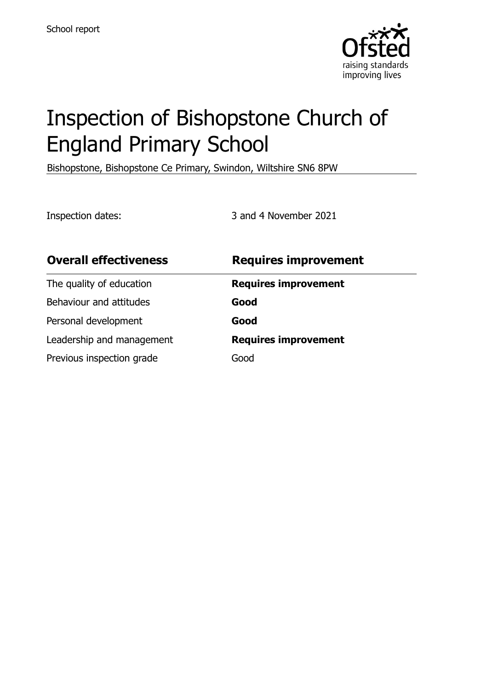

# Inspection of Bishopstone Church of England Primary School

Bishopstone, Bishopstone Ce Primary, Swindon, Wiltshire SN6 8PW

Inspection dates: 3 and 4 November 2021

| <b>Overall effectiveness</b> | <b>Requires improvement</b> |
|------------------------------|-----------------------------|
| The quality of education     | <b>Requires improvement</b> |
| Behaviour and attitudes      | Good                        |
| Personal development         | Good                        |
| Leadership and management    | <b>Requires improvement</b> |
| Previous inspection grade    | Good                        |
|                              |                             |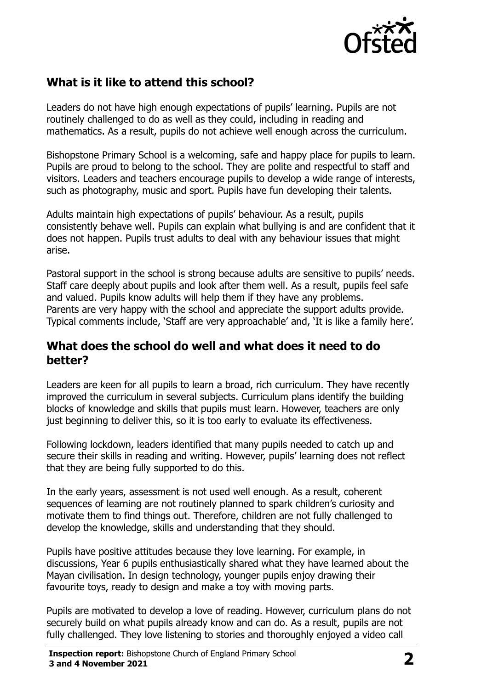

# **What is it like to attend this school?**

Leaders do not have high enough expectations of pupils' learning. Pupils are not routinely challenged to do as well as they could, including in reading and mathematics. As a result, pupils do not achieve well enough across the curriculum.

Bishopstone Primary School is a welcoming, safe and happy place for pupils to learn. Pupils are proud to belong to the school. They are polite and respectful to staff and visitors. Leaders and teachers encourage pupils to develop a wide range of interests, such as photography, music and sport. Pupils have fun developing their talents.

Adults maintain high expectations of pupils' behaviour. As a result, pupils consistently behave well. Pupils can explain what bullying is and are confident that it does not happen. Pupils trust adults to deal with any behaviour issues that might arise.

Pastoral support in the school is strong because adults are sensitive to pupils' needs. Staff care deeply about pupils and look after them well. As a result, pupils feel safe and valued. Pupils know adults will help them if they have any problems. Parents are very happy with the school and appreciate the support adults provide. Typical comments include, 'Staff are very approachable' and, 'It is like a family here'.

#### **What does the school do well and what does it need to do better?**

Leaders are keen for all pupils to learn a broad, rich curriculum. They have recently improved the curriculum in several subjects. Curriculum plans identify the building blocks of knowledge and skills that pupils must learn. However, teachers are only just beginning to deliver this, so it is too early to evaluate its effectiveness.

Following lockdown, leaders identified that many pupils needed to catch up and secure their skills in reading and writing. However, pupils' learning does not reflect that they are being fully supported to do this.

In the early years, assessment is not used well enough. As a result, coherent sequences of learning are not routinely planned to spark children's curiosity and motivate them to find things out. Therefore, children are not fully challenged to develop the knowledge, skills and understanding that they should.

Pupils have positive attitudes because they love learning. For example, in discussions, Year 6 pupils enthusiastically shared what they have learned about the Mayan civilisation. In design technology, younger pupils enjoy drawing their favourite toys, ready to design and make a toy with moving parts.

Pupils are motivated to develop a love of reading. However, curriculum plans do not securely build on what pupils already know and can do. As a result, pupils are not fully challenged. They love listening to stories and thoroughly enjoyed a video call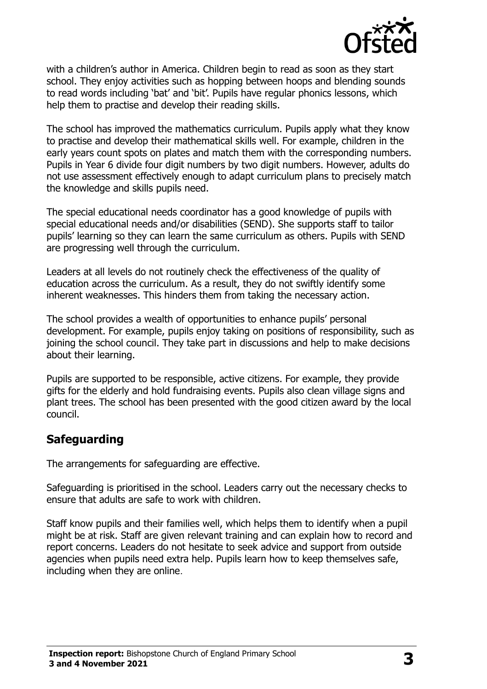

with a children's author in America. Children begin to read as soon as they start school. They enjoy activities such as hopping between hoops and blending sounds to read words including 'bat' and 'bit'. Pupils have regular phonics lessons, which help them to practise and develop their reading skills.

The school has improved the mathematics curriculum. Pupils apply what they know to practise and develop their mathematical skills well. For example, children in the early years count spots on plates and match them with the corresponding numbers. Pupils in Year 6 divide four digit numbers by two digit numbers. However, adults do not use assessment effectively enough to adapt curriculum plans to precisely match the knowledge and skills pupils need.

The special educational needs coordinator has a good knowledge of pupils with special educational needs and/or disabilities (SEND). She supports staff to tailor pupils' learning so they can learn the same curriculum as others. Pupils with SEND are progressing well through the curriculum.

Leaders at all levels do not routinely check the effectiveness of the quality of education across the curriculum. As a result, they do not swiftly identify some inherent weaknesses. This hinders them from taking the necessary action.

The school provides a wealth of opportunities to enhance pupils' personal development. For example, pupils enjoy taking on positions of responsibility, such as joining the school council. They take part in discussions and help to make decisions about their learning.

Pupils are supported to be responsible, active citizens. For example, they provide gifts for the elderly and hold fundraising events. Pupils also clean village signs and plant trees. The school has been presented with the good citizen award by the local council.

#### **Safeguarding**

The arrangements for safeguarding are effective.

Safeguarding is prioritised in the school. Leaders carry out the necessary checks to ensure that adults are safe to work with children.

Staff know pupils and their families well, which helps them to identify when a pupil might be at risk. Staff are given relevant training and can explain how to record and report concerns. Leaders do not hesitate to seek advice and support from outside agencies when pupils need extra help. Pupils learn how to keep themselves safe, including when they are online.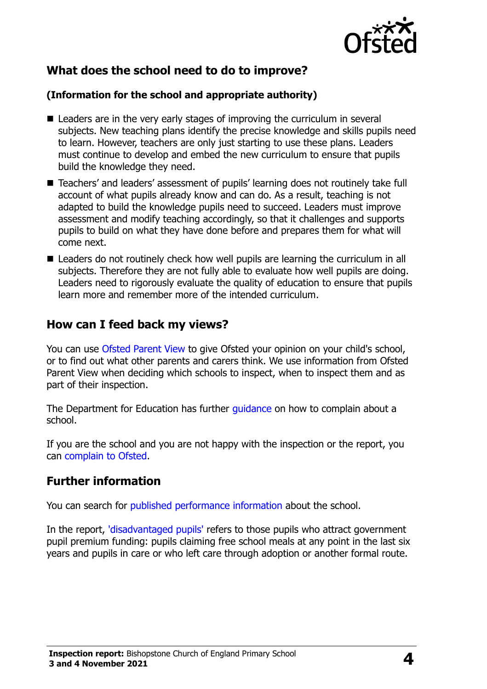

# **What does the school need to do to improve?**

#### **(Information for the school and appropriate authority)**

- Leaders are in the very early stages of improving the curriculum in several subjects. New teaching plans identify the precise knowledge and skills pupils need to learn. However, teachers are only just starting to use these plans. Leaders must continue to develop and embed the new curriculum to ensure that pupils build the knowledge they need.
- Teachers' and leaders' assessment of pupils' learning does not routinely take full account of what pupils already know and can do. As a result, teaching is not adapted to build the knowledge pupils need to succeed. Leaders must improve assessment and modify teaching accordingly, so that it challenges and supports pupils to build on what they have done before and prepares them for what will come next.
- Leaders do not routinely check how well pupils are learning the curriculum in all subjects. Therefore they are not fully able to evaluate how well pupils are doing. Leaders need to rigorously evaluate the quality of education to ensure that pupils learn more and remember more of the intended curriculum.

#### **How can I feed back my views?**

You can use [Ofsted Parent View](http://parentview.ofsted.gov.uk/) to give Ofsted your opinion on your child's school, or to find out what other parents and carers think. We use information from Ofsted Parent View when deciding which schools to inspect, when to inspect them and as part of their inspection.

The Department for Education has further [guidance](http://www.gov.uk/complain-about-school) on how to complain about a school.

If you are the school and you are not happy with the inspection or the report, you can [complain to Ofsted.](http://www.gov.uk/complain-ofsted-report)

# **Further information**

You can search for [published performance information](http://www.compare-school-performance.service.gov.uk/) about the school.

In the report, ['disadvantaged pupils'](http://www.gov.uk/guidance/pupil-premium-information-for-schools-and-alternative-provision-settings) refers to those pupils who attract government pupil premium funding: pupils claiming free school meals at any point in the last six years and pupils in care or who left care through adoption or another formal route.

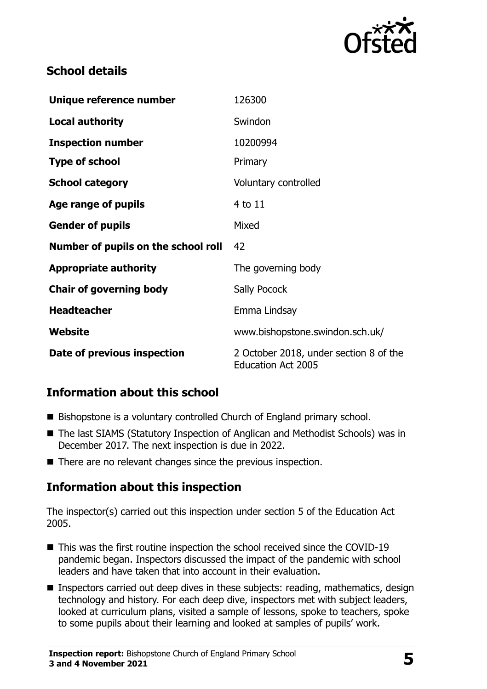

# **School details**

| Unique reference number             | 126300                                                              |
|-------------------------------------|---------------------------------------------------------------------|
| <b>Local authority</b>              | Swindon                                                             |
| <b>Inspection number</b>            | 10200994                                                            |
| <b>Type of school</b>               | Primary                                                             |
| <b>School category</b>              | Voluntary controlled                                                |
| Age range of pupils                 | 4 to 11                                                             |
| <b>Gender of pupils</b>             | Mixed                                                               |
| Number of pupils on the school roll | 42                                                                  |
| <b>Appropriate authority</b>        | The governing body                                                  |
| <b>Chair of governing body</b>      | Sally Pocock                                                        |
| <b>Headteacher</b>                  | Emma Lindsay                                                        |
| Website                             | www.bishopstone.swindon.sch.uk/                                     |
| Date of previous inspection         | 2 October 2018, under section 8 of the<br><b>Education Act 2005</b> |

# **Information about this school**

- Bishopstone is a voluntary controlled Church of England primary school.
- The last SIAMS (Statutory Inspection of Anglican and Methodist Schools) was in December 2017. The next inspection is due in 2022.
- There are no relevant changes since the previous inspection.

#### **Information about this inspection**

The inspector(s) carried out this inspection under section 5 of the Education Act 2005.

- This was the first routine inspection the school received since the COVID-19 pandemic began. Inspectors discussed the impact of the pandemic with school leaders and have taken that into account in their evaluation.
- **Inspectors carried out deep dives in these subjects: reading, mathematics, design** technology and history. For each deep dive, inspectors met with subject leaders, looked at curriculum plans, visited a sample of lessons, spoke to teachers, spoke to some pupils about their learning and looked at samples of pupils' work.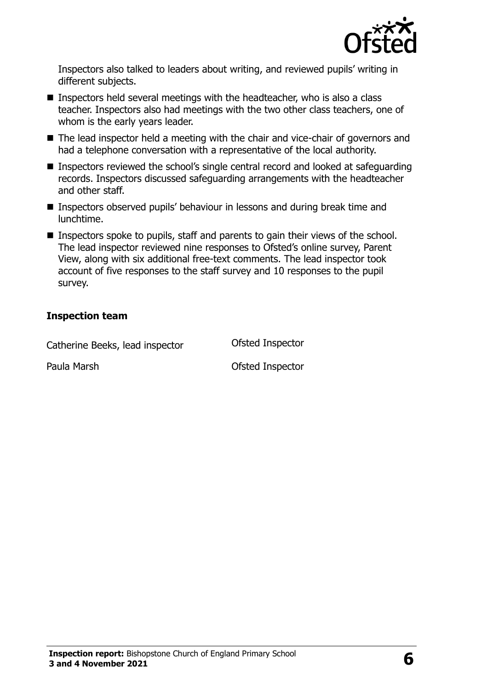

Inspectors also talked to leaders about writing, and reviewed pupils' writing in different subjects.

- Inspectors held several meetings with the headteacher, who is also a class teacher. Inspectors also had meetings with the two other class teachers, one of whom is the early years leader.
- The lead inspector held a meeting with the chair and vice-chair of governors and had a telephone conversation with a representative of the local authority.
- Inspectors reviewed the school's single central record and looked at safeguarding records. Inspectors discussed safeguarding arrangements with the headteacher and other staff.
- **Inspectors observed pupils' behaviour in lessons and during break time and** lunchtime.
- Inspectors spoke to pupils, staff and parents to gain their views of the school. The lead inspector reviewed nine responses to Ofsted's online survey, Parent View, along with six additional free-text comments. The lead inspector took account of five responses to the staff survey and 10 responses to the pupil survey.

#### **Inspection team**

Catherine Beeks, lead inspector **Ofsted Inspector** 

Paula Marsh **Paula Marsh Paula Marsh Paula Marsh Ofsted Inspector**